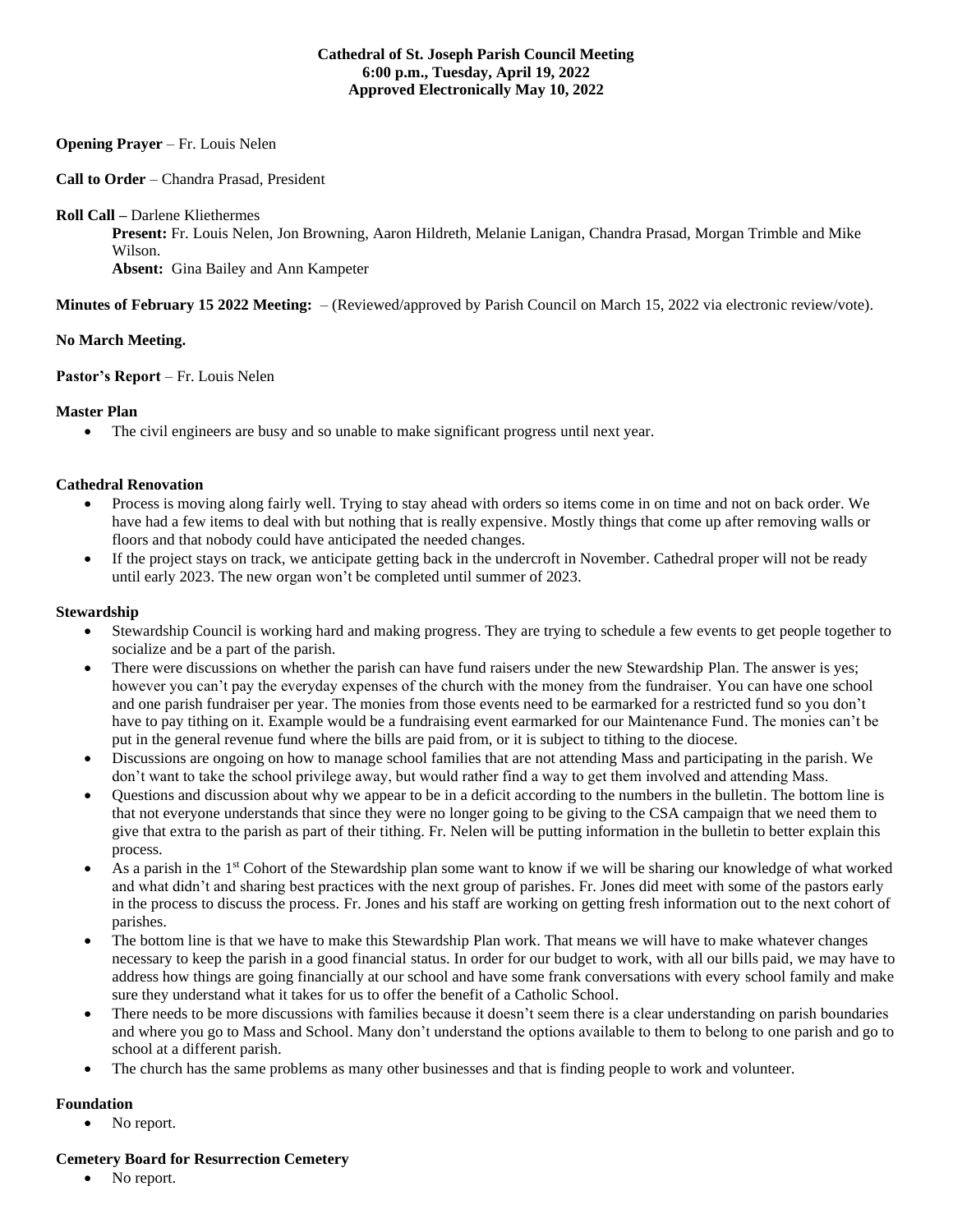### **Cathedral of St. Joseph Parish Council Meeting 6:00 p.m., Tuesday, April 19, 2022 Approved Electronically May 10, 2022**

## **Opening Prayer** – Fr. Louis Nelen

**Call to Order** – Chandra Prasad, President

**Roll Call –** Darlene Kliethermes

**Present:** Fr. Louis Nelen, Jon Browning, Aaron Hildreth, Melanie Lanigan, Chandra Prasad, Morgan Trimble and Mike Wilson.

**Absent:** Gina Bailey and Ann Kampeter

**Minutes of February 15 2022 Meeting:** – (Reviewed/approved by Parish Council on March 15, 2022 via electronic review/vote).

## **No March Meeting.**

**Pastor's Report** – Fr. Louis Nelen

### **Master Plan**

• The civil engineers are busy and so unable to make significant progress until next year.

### **Cathedral Renovation**

- Process is moving along fairly well. Trying to stay ahead with orders so items come in on time and not on back order. We have had a few items to deal with but nothing that is really expensive. Mostly things that come up after removing walls or floors and that nobody could have anticipated the needed changes.
- If the project stays on track, we anticipate getting back in the undercroft in November. Cathedral proper will not be ready until early 2023. The new organ won't be completed until summer of 2023.

### **Stewardship**

- Stewardship Council is working hard and making progress. They are trying to schedule a few events to get people together to socialize and be a part of the parish.
- There were discussions on whether the parish can have fund raisers under the new Stewardship Plan. The answer is yes; however you can't pay the everyday expenses of the church with the money from the fundraiser. You can have one school and one parish fundraiser per year. The monies from those events need to be earmarked for a restricted fund so you don't have to pay tithing on it. Example would be a fundraising event earmarked for our Maintenance Fund. The monies can't be put in the general revenue fund where the bills are paid from, or it is subject to tithing to the diocese.
- Discussions are ongoing on how to manage school families that are not attending Mass and participating in the parish. We don't want to take the school privilege away, but would rather find a way to get them involved and attending Mass.
- Questions and discussion about why we appear to be in a deficit according to the numbers in the bulletin. The bottom line is that not everyone understands that since they were no longer going to be giving to the CSA campaign that we need them to give that extra to the parish as part of their tithing. Fr. Nelen will be putting information in the bulletin to better explain this process.
- As a parish in the 1<sup>st</sup> Cohort of the Stewardship plan some want to know if we will be sharing our knowledge of what worked and what didn't and sharing best practices with the next group of parishes. Fr. Jones did meet with some of the pastors early in the process to discuss the process. Fr. Jones and his staff are working on getting fresh information out to the next cohort of parishes.
- The bottom line is that we have to make this Stewardship Plan work. That means we will have to make whatever changes necessary to keep the parish in a good financial status. In order for our budget to work, with all our bills paid, we may have to address how things are going financially at our school and have some frank conversations with every school family and make sure they understand what it takes for us to offer the benefit of a Catholic School.
- There needs to be more discussions with families because it doesn't seem there is a clear understanding on parish boundaries and where you go to Mass and School. Many don't understand the options available to them to belong to one parish and go to school at a different parish.
- The church has the same problems as many other businesses and that is finding people to work and volunteer.

## **Foundation**

• No report.

#### **Cemetery Board for Resurrection Cemetery**

No report.